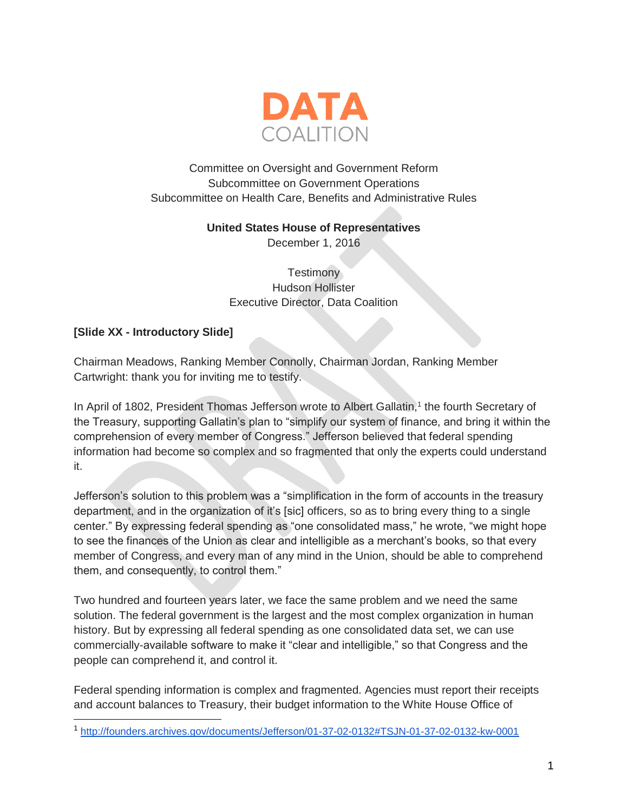

#### Committee on Oversight and Government Reform Subcommittee on Government Operations Subcommittee on Health Care, Benefits and Administrative Rules

#### **United States House of Representatives**

December 1, 2016

**Testimony** Hudson Hollister Executive Director, Data Coalition

#### **[Slide XX - Introductory Slide]**

Chairman Meadows, Ranking Member Connolly, Chairman Jordan, Ranking Member Cartwright: thank you for inviting me to testify.

In April of 1802, President Thomas Jefferson wrote to Albert Gallatin,<sup>1</sup> the fourth Secretary of the Treasury, supporting Gallatin's plan to "simplify our system of finance, and bring it within the comprehension of every member of Congress." Jefferson believed that federal spending information had become so complex and so fragmented that only the experts could understand it.

Jefferson's solution to this problem was a "simplification in the form of accounts in the treasury department, and in the organization of it's [sic] officers, so as to bring every thing to a single center." By expressing federal spending as "one consolidated mass," he wrote, "we might hope to see the finances of the Union as clear and intelligible as a merchant's books, so that every member of Congress, and every man of any mind in the Union, should be able to comprehend them, and consequently, to control them."

Two hundred and fourteen years later, we face the same problem and we need the same solution. The federal government is the largest and the most complex organization in human history. But by expressing all federal spending as one consolidated data set, we can use commercially-available software to make it "clear and intelligible," so that Congress and the people can comprehend it, and control it.

Federal spending information is complex and fragmented. Agencies must report their receipts and account balances to Treasury, their budget information to the White House Office of

<sup>1</sup> <http://founders.archives.gov/documents/Jefferson/01-37-02-0132#TSJN-01-37-02-0132-kw-0001>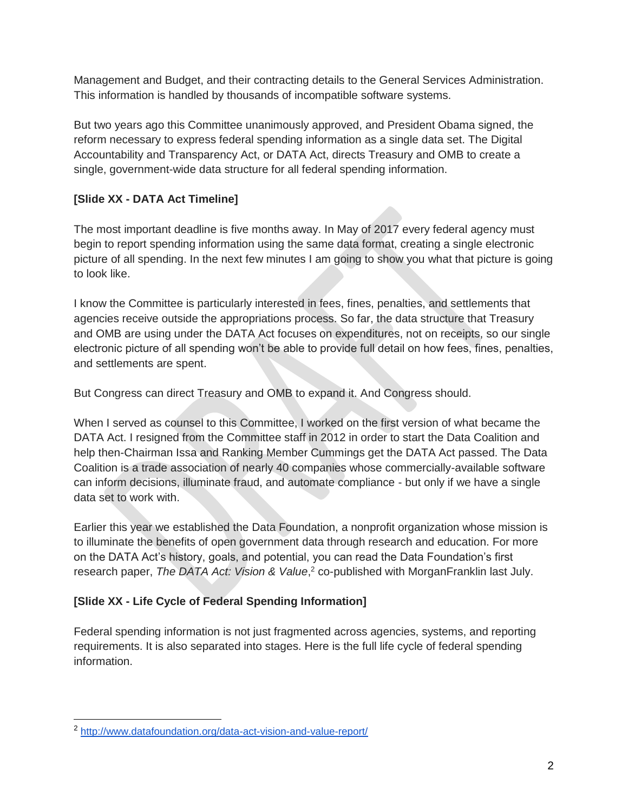Management and Budget, and their contracting details to the General Services Administration. This information is handled by thousands of incompatible software systems.

But two years ago this Committee unanimously approved, and President Obama signed, the reform necessary to express federal spending information as a single data set. The Digital Accountability and Transparency Act, or DATA Act, directs Treasury and OMB to create a single, government-wide data structure for all federal spending information.

## **[Slide XX - DATA Act Timeline]**

The most important deadline is five months away. In May of 2017 every federal agency must begin to report spending information using the same data format, creating a single electronic picture of all spending. In the next few minutes I am going to show you what that picture is going to look like.

I know the Committee is particularly interested in fees, fines, penalties, and settlements that agencies receive outside the appropriations process. So far, the data structure that Treasury and OMB are using under the DATA Act focuses on expenditures, not on receipts, so our single electronic picture of all spending won't be able to provide full detail on how fees, fines, penalties, and settlements are spent.

But Congress can direct Treasury and OMB to expand it. And Congress should.

When I served as counsel to this Committee, I worked on the first version of what became the DATA Act. I resigned from the Committee staff in 2012 in order to start the Data Coalition and help then-Chairman Issa and Ranking Member Cummings get the DATA Act passed. The Data Coalition is a trade association of nearly 40 companies whose commercially-available software can inform decisions, illuminate fraud, and automate compliance - but only if we have a single data set to work with.

Earlier this year we established the Data Foundation, a nonprofit organization whose mission is to illuminate the benefits of open government data through research and education. For more on the DATA Act's history, goals, and potential, you can read the Data Foundation's first research paper, *The DATA Act: Vision & Value*, <sup>2</sup> co-published with MorganFranklin last July.

### **[Slide XX - Life Cycle of Federal Spending Information]**

Federal spending information is not just fragmented across agencies, systems, and reporting requirements. It is also separated into stages. Here is the full life cycle of federal spending information.

<sup>2</sup> <http://www.datafoundation.org/data-act-vision-and-value-report/>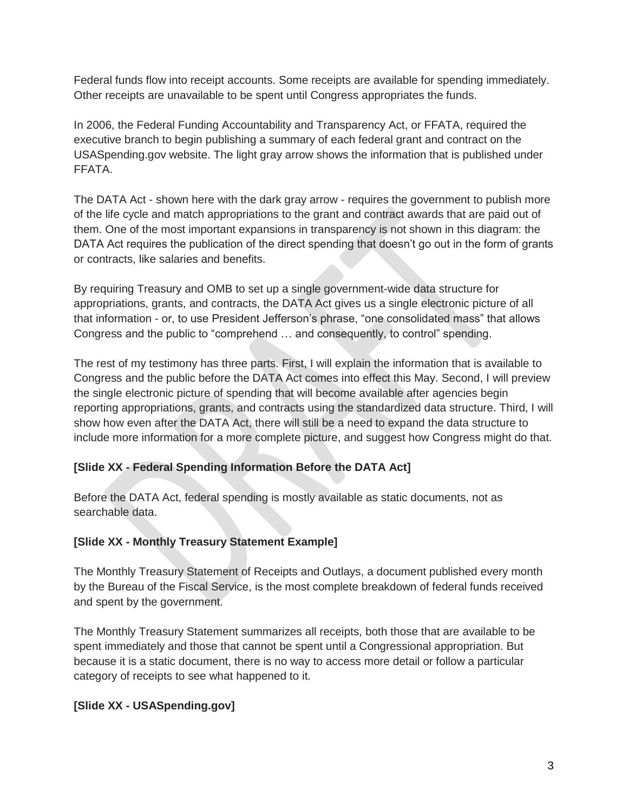Federal funds flow into receipt accounts. Some receipts are available for spending immediately. Other receipts are unavailable to be spent until Congress appropriates the funds.

In 2006, the Federal Funding Accountability and Transparency Act, or FFATA, required the executive branch to begin publishing a summary of each federal grant and contract on the USASpending.gov website. The light gray arrow shows the information that is published under FFATA.

The DATA Act - shown here with the dark gray arrow - requires the government to publish more of the life cycle and match appropriations to the grant and contract awards that are paid out of them. One of the most important expansions in transparency is not shown in this diagram: the DATA Act requires the publication of the direct spending that doesn't go out in the form of grants or contracts, like salaries and benefits.

By requiring Treasury and OMB to set up a single government-wide data structure for appropriations, grants, and contracts, the DATA Act gives us a single electronic picture of all that information - or, to use President Jefferson's phrase, "one consolidated mass" that allows Congress and the public to "comprehend … and consequently, to control" spending.

The rest of my testimony has three parts. First, I will explain the information that is available to Congress and the public before the DATA Act comes into effect this May. Second, I will preview the single electronic picture of spending that will become available after agencies begin reporting appropriations, grants, and contracts using the standardized data structure. Third, I will show how even after the DATA Act, there will still be a need to expand the data structure to include more information for a more complete picture, and suggest how Congress might do that.

### **[Slide XX - Federal Spending Information Before the DATA Act]**

Before the DATA Act, federal spending is mostly available as static documents, not as searchable data.

#### **[Slide XX - Monthly Treasury Statement Example]**

The Monthly Treasury Statement of Receipts and Outlays, a document published every month by the Bureau of the Fiscal Service, is the most complete breakdown of federal funds received and spent by the government.

The Monthly Treasury Statement summarizes all receipts, both those that are available to be spent immediately and those that cannot be spent until a Congressional appropriation. But because it is a static document, there is no way to access more detail or follow a particular category of receipts to see what happened to it.

#### **[Slide XX - USASpending.gov]**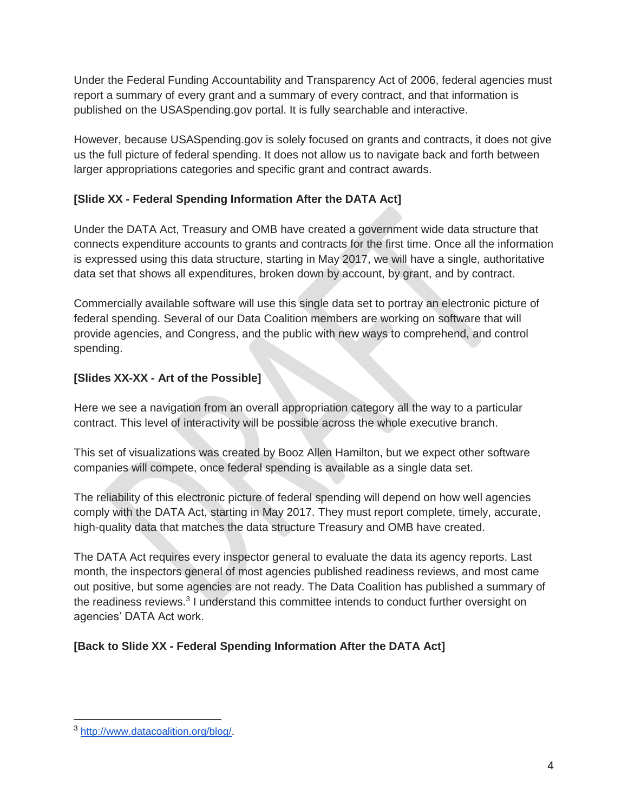Under the Federal Funding Accountability and Transparency Act of 2006, federal agencies must report a summary of every grant and a summary of every contract, and that information is published on the USASpending.gov portal. It is fully searchable and interactive.

However, because USASpending.gov is solely focused on grants and contracts, it does not give us the full picture of federal spending. It does not allow us to navigate back and forth between larger appropriations categories and specific grant and contract awards.

### **[Slide XX - Federal Spending Information After the DATA Act]**

Under the DATA Act, Treasury and OMB have created a government wide data structure that connects expenditure accounts to grants and contracts for the first time. Once all the information is expressed using this data structure, starting in May 2017, we will have a single, authoritative data set that shows all expenditures, broken down by account, by grant, and by contract.

Commercially available software will use this single data set to portray an electronic picture of federal spending. Several of our Data Coalition members are working on software that will provide agencies, and Congress, and the public with new ways to comprehend, and control spending.

## **[Slides XX-XX - Art of the Possible]**

Here we see a navigation from an overall appropriation category all the way to a particular contract. This level of interactivity will be possible across the whole executive branch.

This set of visualizations was created by Booz Allen Hamilton, but we expect other software companies will compete, once federal spending is available as a single data set.

The reliability of this electronic picture of federal spending will depend on how well agencies comply with the DATA Act, starting in May 2017. They must report complete, timely, accurate, high-quality data that matches the data structure Treasury and OMB have created.

The DATA Act requires every inspector general to evaluate the data its agency reports. Last month, the inspectors general of most agencies published readiness reviews, and most came out positive, but some agencies are not ready. The Data Coalition has published a summary of the readiness reviews.<sup>3</sup> I understand this committee intends to conduct further oversight on agencies' DATA Act work.

# **[Back to Slide XX - Federal Spending Information After the DATA Act]**

<sup>3</sup> [http://www.datacoalition.org/blog/.](http://www.datacoalition.org/blog/)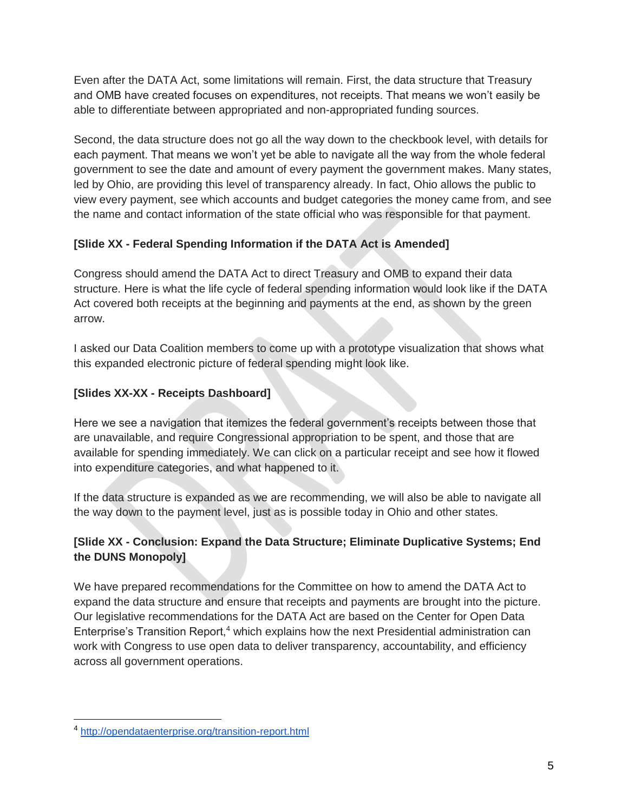Even after the DATA Act, some limitations will remain. First, the data structure that Treasury and OMB have created focuses on expenditures, not receipts. That means we won't easily be able to differentiate between appropriated and non-appropriated funding sources.

Second, the data structure does not go all the way down to the checkbook level, with details for each payment. That means we won't yet be able to navigate all the way from the whole federal government to see the date and amount of every payment the government makes. Many states, led by Ohio, are providing this level of transparency already. In fact, Ohio allows the public to view every payment, see which accounts and budget categories the money came from, and see the name and contact information of the state official who was responsible for that payment.

## **[Slide XX - Federal Spending Information if the DATA Act is Amended]**

Congress should amend the DATA Act to direct Treasury and OMB to expand their data structure. Here is what the life cycle of federal spending information would look like if the DATA Act covered both receipts at the beginning and payments at the end, as shown by the green arrow.

I asked our Data Coalition members to come up with a prototype visualization that shows what this expanded electronic picture of federal spending might look like.

# **[Slides XX-XX - Receipts Dashboard]**

Here we see a navigation that itemizes the federal government's receipts between those that are unavailable, and require Congressional appropriation to be spent, and those that are available for spending immediately. We can click on a particular receipt and see how it flowed into expenditure categories, and what happened to it.

If the data structure is expanded as we are recommending, we will also be able to navigate all the way down to the payment level, just as is possible today in Ohio and other states.

## **[Slide XX - Conclusion: Expand the Data Structure; Eliminate Duplicative Systems; End the DUNS Monopoly]**

We have prepared recommendations for the Committee on how to amend the DATA Act to expand the data structure and ensure that receipts and payments are brought into the picture. Our legislative recommendations for the DATA Act are based on the Center for Open Data Enterprise's Transition Report,<sup>4</sup> which explains how the next Presidential administration can work with Congress to use open data to deliver transparency, accountability, and efficiency across all government operations.

<sup>4</sup> <http://opendataenterprise.org/transition-report.html>